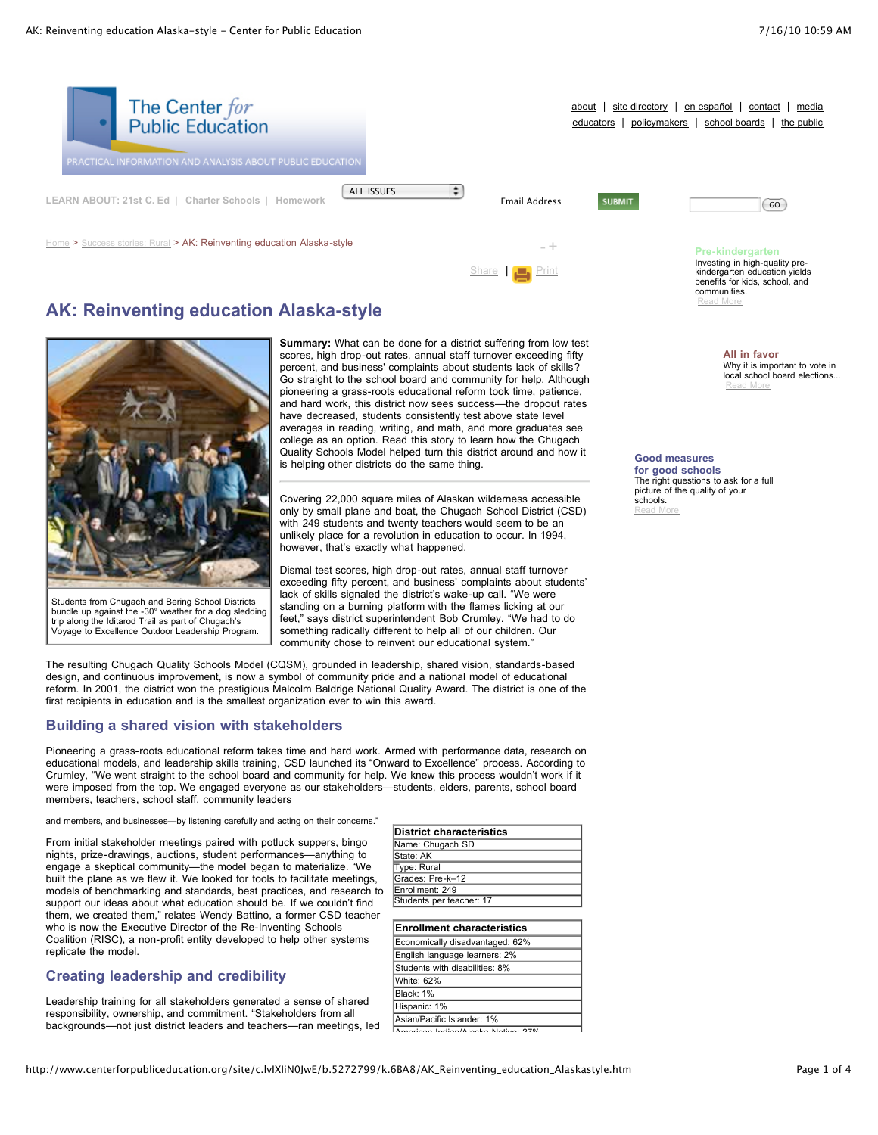

[Share](javascript:void(0)) | **[Print](javascript:CallPrint()** 

# **AK: Reinventing education Alaska-style**



Students from Chugach and Bering School Districts bundle up against the -30° weather for a dog sledding trip along the Iditarod Trail as part of Chugach's Voyage to Excellence Outdoor Leadership Program.

**Summary:** What can be done for a district suffering from low test scores, high drop-out rates, annual staff turnover exceeding fifty percent, and business' complaints about students lack of skills? Go straight to the school board and community for help. Although pioneering a grass-roots educational reform took time, patience, and hard work, this district now sees success—the dropout rates have decreased, students consistently test above state level averages in reading, writing, and math, and more graduates see college as an option. Read this story to learn how the Chugach Quality Schools Model helped turn this district around and how it is helping other districts do the same thing.

Covering 22,000 square miles of Alaskan wilderness accessible only by small plane and boat, the Chugach School District (CSD) with 249 students and twenty teachers would seem to be an unlikely place for a revolution in education to occur. In 1994, however, that's exactly what happened.

Dismal test scores, high drop-out rates, annual staff turnover exceeding fifty percent, and business' complaints about students' lack of skills signaled the district's wake-up call. "We were standing on a burning platform with the flames licking at our feet," says district superintendent Bob Crumley. "We had to do something radically different to help all of our children. Our community chose to reinvent our educational system.

The resulting Chugach Quality Schools Model (CQSM), grounded in leadership, shared vision, standards-based design, and continuous improvement, is now a symbol of community pride and a national model of educational reform. In 2001, the district won the prestigious Malcolm Baldrige National Quality Award. The district is one of the first recipients in education and is the smallest organization ever to win this award.

## **Building a shared vision with stakeholders**

Pioneering a grass-roots educational reform takes time and hard work. Armed with performance data, research on educational models, and leadership skills training, CSD launched its "Onward to Excellence" process. According to Crumley, "We went straight to the school board and community for help. We knew this process wouldn't work if it were imposed from the top. We engaged everyone as our stakeholders—students, elders, parents, school board members, teachers, school staff, community leaders

and members, and businesses—by listening carefully and acting on their concerns."

From initial stakeholder meetings paired with potluck suppers, bingo nights, prize-drawings, auctions, student performances—anything to engage a skeptical community—the model began to materialize. "We built the plane as we flew it. We looked for tools to facilitate meetings, models of benchmarking and standards, best practices, and research to support our ideas about what education should be. If we couldn't find them, we created them," relates Wendy Battino, a former CSD teacher who is now the Executive Director of the Re-Inventing Schools Coalition (RISC), a non-profit entity developed to help other systems replicate the model.

## **Creating leadership and credibility**

Leadership training for all stakeholders generated a sense of shared responsibility, ownership, and commitment. "Stakeholders from all backgrounds—not just district leaders and teachers—ran meetings, led

| District characteristics |
|--------------------------|
| Name: Chugach SD         |
| State: AK                |
| Type: Rural              |
| Grades: Pre-k-12         |
| Enrollment: 249          |
| Students per teacher: 17 |
|                          |

| <b>Enrollment characteristics</b> |
|-----------------------------------|
| Economically disadvantaged: 62%   |
| English language learners: 2%     |
| Students with disabilities: 8%    |
| White: 62%                        |
| Black: 1%                         |
| Hispanic: 1%                      |
| Asian/Pacific Islander: 1%        |

American Indian/Alaska Native: 27%

**Good measures**

**for good schools** The right questions to ask for a full picture of the quality of your schools. [Read](http://www.centerforpubliceducation.org/site/lookup.asp?c=lvIXIiN0JwE&b=5137869) More

kindergarten education yields benefits for kids, school, and

**All in favor**

[Read](http://www.centerforpubliceducation.org/site/lookup.asp?c=lvIXIiN0JwE&b=5137871) More

Why it is important to vote in local school board elections...

communities. [Read](http://www.centerforpubliceducation.org/site/lookup.asp?c=lvIXIiN0JwE&b=5137859) More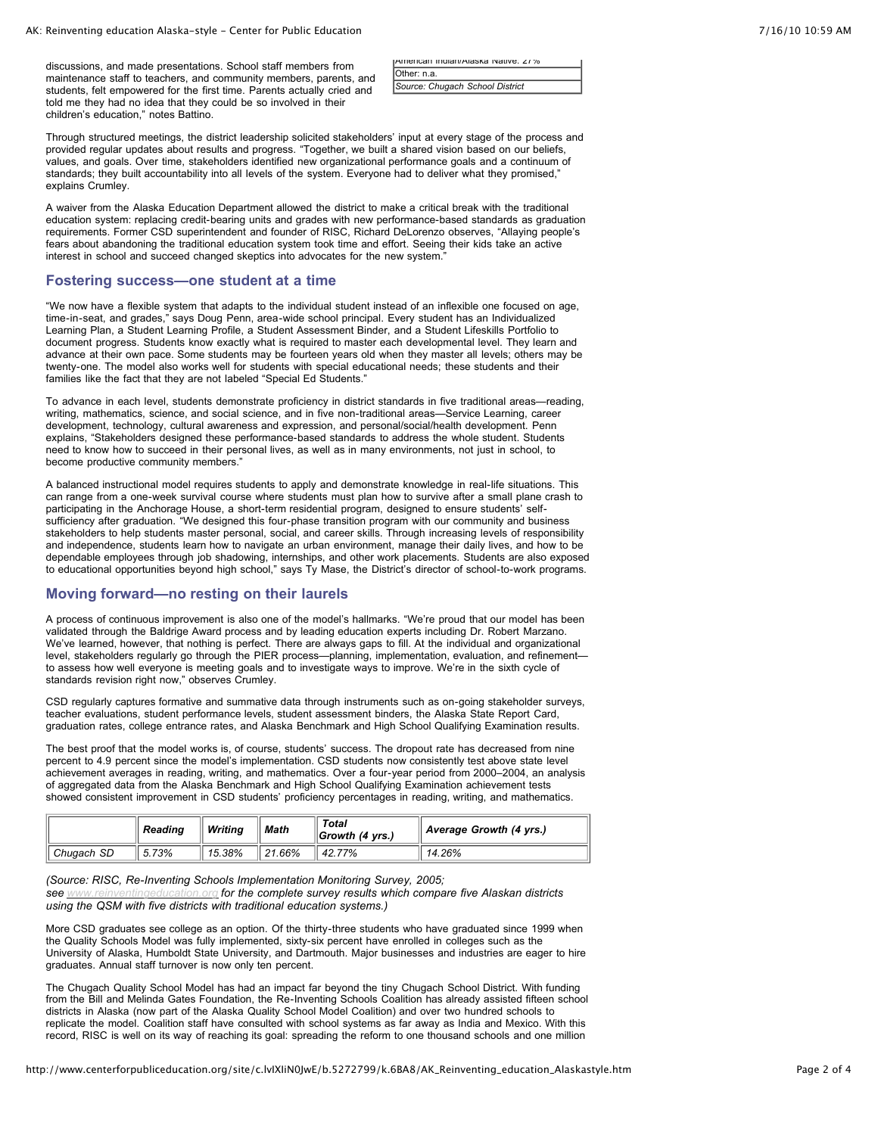discussions, and made presentations. School staff members from maintenance staff to teachers, and community members, parents, and students, felt empowered for the first time. Parents actually cried and told me they had no idea that they could be so involved in their children's education," notes Battino.

| JAMERICAN INDIAN/AIASKA NATIVE: 21% |  |
|-------------------------------------|--|
| Other: n.a.                         |  |
| Source: Chugach School District     |  |

Through structured meetings, the district leadership solicited stakeholders' input at every stage of the process and provided regular updates about results and progress. "Together, we built a shared vision based on our beliefs, values, and goals. Over time, stakeholders identified new organizational performance goals and a continuum of standards; they built accountability into all levels of the system. Everyone had to deliver what they promised," explains Crumley.

A waiver from the Alaska Education Department allowed the district to make a critical break with the traditional education system: replacing credit-bearing units and grades with new performance-based standards as graduation requirements. Former CSD superintendent and founder of RISC, Richard DeLorenzo observes, "Allaying people's fears about abandoning the traditional education system took time and effort. Seeing their kids take an active interest in school and succeed changed skeptics into advocates for the new system."

#### **Fostering success—one student at a time**

"We now have a flexible system that adapts to the individual student instead of an inflexible one focused on age, time-in-seat, and grades," says Doug Penn, area-wide school principal. Every student has an Individualized Learning Plan, a Student Learning Profile, a Student Assessment Binder, and a Student Lifeskills Portfolio to document progress. Students know exactly what is required to master each developmental level. They learn and advance at their own pace. Some students may be fourteen years old when they master all levels; others may be twenty-one. The model also works well for students with special educational needs; these students and their families like the fact that they are not labeled "Special Ed Students."

To advance in each level, students demonstrate proficiency in district standards in five traditional areas—reading, writing, mathematics, science, and social science, and in five non-traditional areas—Service Learning, career development, technology, cultural awareness and expression, and personal/social/health development. Penn explains, "Stakeholders designed these performance-based standards to address the whole student. Students need to know how to succeed in their personal lives, as well as in many environments, not just in school, to become productive community members."

A balanced instructional model requires students to apply and demonstrate knowledge in real-life situations. This can range from a one-week survival course where students must plan how to survive after a small plane crash to participating in the Anchorage House, a short-term residential program, designed to ensure students' selfsufficiency after graduation. "We designed this four-phase transition program with our community and business stakeholders to help students master personal, social, and career skills. Through increasing levels of responsibility and independence, students learn how to navigate an urban environment, manage their daily lives, and how to be dependable employees through job shadowing, internships, and other work placements. Students are also exposed to educational opportunities beyond high school," says Ty Mase, the District's director of school-to-work programs.

#### **Moving forward—no resting on their laurels**

A process of continuous improvement is also one of the model's hallmarks. "We're proud that our model has been validated through the Baldrige Award process and by leading education experts including Dr. Robert Marzano. We've learned, however, that nothing is perfect. There are always gaps to fill. At the individual and organizational level, stakeholders regularly go through the PIER process—planning, implementation, evaluation, and refinement to assess how well everyone is meeting goals and to investigate ways to improve. We're in the sixth cycle of standards revision right now," observes Crumley.

CSD regularly captures formative and summative data through instruments such as on-going stakeholder surveys, teacher evaluations, student performance levels, student assessment binders, the Alaska State Report Card, graduation rates, college entrance rates, and Alaska Benchmark and High School Qualifying Examination results.

The best proof that the model works is, of course, students' success. The dropout rate has decreased from nine percent to 4.9 percent since the model's implementation. CSD students now consistently test above state level achievement averages in reading, writing, and mathematics. Over a four-year period from 2000–2004, an analysis of aggregated data from the Alaska Benchmark and High School Qualifying Examination achievement tests showed consistent improvement in CSD students' proficiency percentages in reading, writing, and mathematics.

|            | Reading | Writina | <b>Math</b> | Total<br>$\parallel$ Growth (4 yrs.) | $\parallel$ Average Growth (4 yrs.) |
|------------|---------|---------|-------------|--------------------------------------|-------------------------------------|
| Chuaach SD | 5.73%   | 15.38%  | 21.66%      | 42.77%                               | 14.26%                              |

*(Source: RISC, Re-Inventing Schools Implementation Monitoring Survey, 2005;*

*see [www.reinventingeducation.org](http://www.reinventingeducation.org/) for the complete survey results which compare five Alaskan districts using the QSM with five districts with traditional education systems.)*

More CSD graduates see college as an option. Of the thirty-three students who have graduated since 1999 when the Quality Schools Model was fully implemented, sixty-six percent have enrolled in colleges such as the University of Alaska, Humboldt State University, and Dartmouth. Major businesses and industries are eager to hire graduates. Annual staff turnover is now only ten percent.

The Chugach Quality School Model has had an impact far beyond the tiny Chugach School District. With funding from the Bill and Melinda Gates Foundation, the Re-Inventing Schools Coalition has already assisted fifteen school districts in Alaska (now part of the Alaska Quality School Model Coalition) and over two hundred schools to replicate the model. Coalition staff have consulted with school systems as far away as India and Mexico. With this record, RISC is well on its way of reaching its goal: spreading the reform to one thousand schools and one million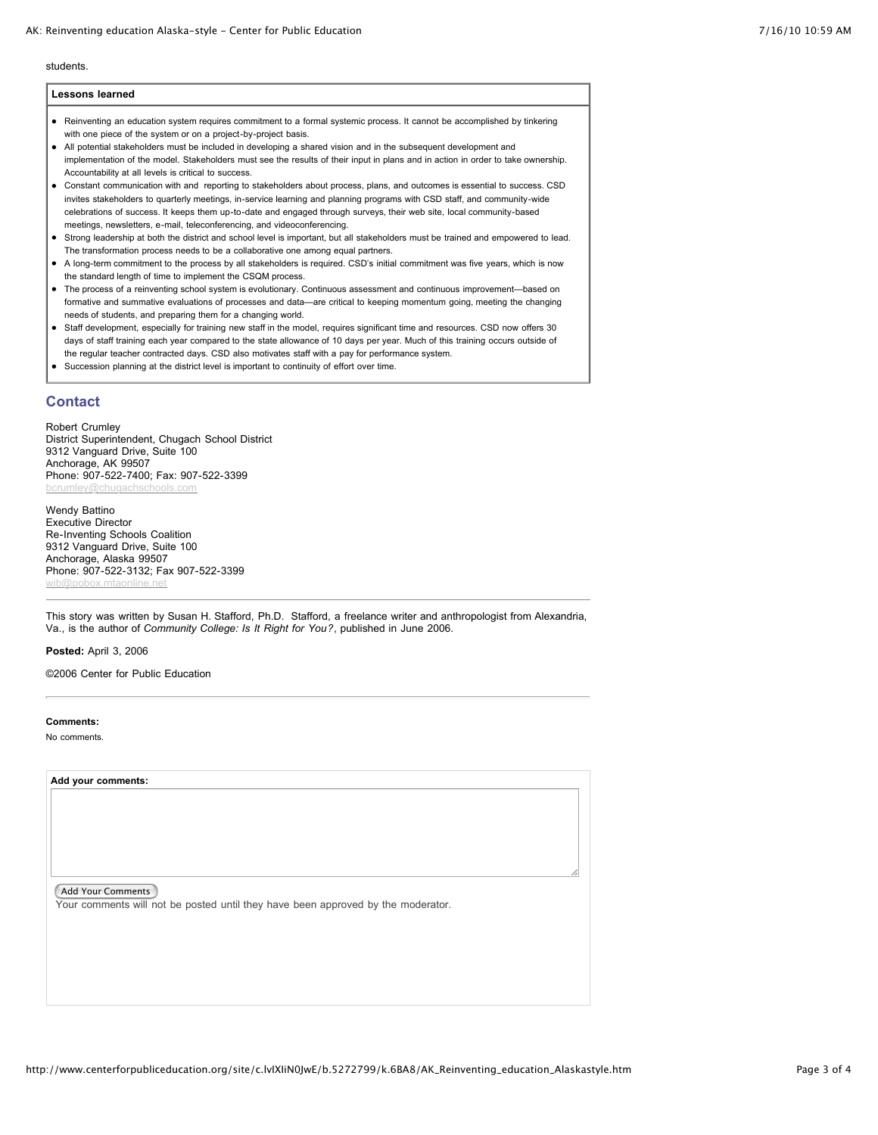#### AK: Reinventing education Alaska-style - Center for Public Education 7/16/10 10:59 AM

students.

| <b>Lessons learned</b>                                                                                                                                                                     |
|--------------------------------------------------------------------------------------------------------------------------------------------------------------------------------------------|
| Reinventing an education system requires commitment to a formal systemic process. It cannot be accomplished by tinkering<br>with one piece of the system or on a project-by-project basis. |
| All potential stakeholders must be included in developing a shared vision and in the subsequent development and                                                                            |
| implementation of the model. Stakeholders must see the results of their input in plans and in action in order to take ownership.                                                           |
| Accountability at all levels is critical to success.                                                                                                                                       |

Constant communication with and reporting to stakeholders about process, plans, and outcomes is essential to success. CSD invites stakeholders to quarterly meetings, in-service learning and planning programs with CSD staff, and community-wide celebrations of success. It keeps them up-to-date and engaged through surveys, their web site, local community-based meetings, newsletters, e-mail, teleconferencing, and videoconferencing.

- Strong leadership at both the district and school level is important, but all stakeholders must be trained and empowered to lead. The transformation process needs to be a collaborative one among equal partners.
- A long-term commitment to the process by all stakeholders is required. CSD's initial commitment was five years, which is now the standard length of time to implement the CSQM process.
- The process of a reinventing school system is evolutionary. Continuous assessment and continuous improvement—based on formative and summative evaluations of processes and data—are critical to keeping momentum going, meeting the changing needs of students, and preparing them for a changing world.
- Staff development, especially for training new staff in the model, requires significant time and resources. CSD now offers 30 days of staff training each year compared to the state allowance of 10 days per year. Much of this training occurs outside of the regular teacher contracted days. CSD also motivates staff with a pay for performance system.
- Succession planning at the district level is important to continuity of effort over time.

### **Contact**

Robert Crumley District Superintendent, Chugach School District 9312 Vanguard Drive, Suite 100 Anchorage, AK 99507 Phone: 907-522-7400; Fax: 907-522-3399

Wendy Battino Executive Director Re-Inventing Schools Coalition 9312 Vanguard Drive, Suite 100 Anchorage, Alaska 99507 Phone: 907-522-3132; Fax 907-522-3399 [wjb@pobox.mtaonline.net](mailto:wjb@pobox.mtaonline.net)

This story was written by Susan H. Stafford, Ph.D. Stafford, a freelance writer and anthropologist from Alexandria, Va., is the author of *Community College: Is It Right for You?*, published in June 2006.

**Posted:** April 3, 2006

©2006 Center for Public Education

#### **Comments:**

No comments.

**Add your comments:**

Add Your Comments

Your comments will not be posted until they have been approved by the moderator.